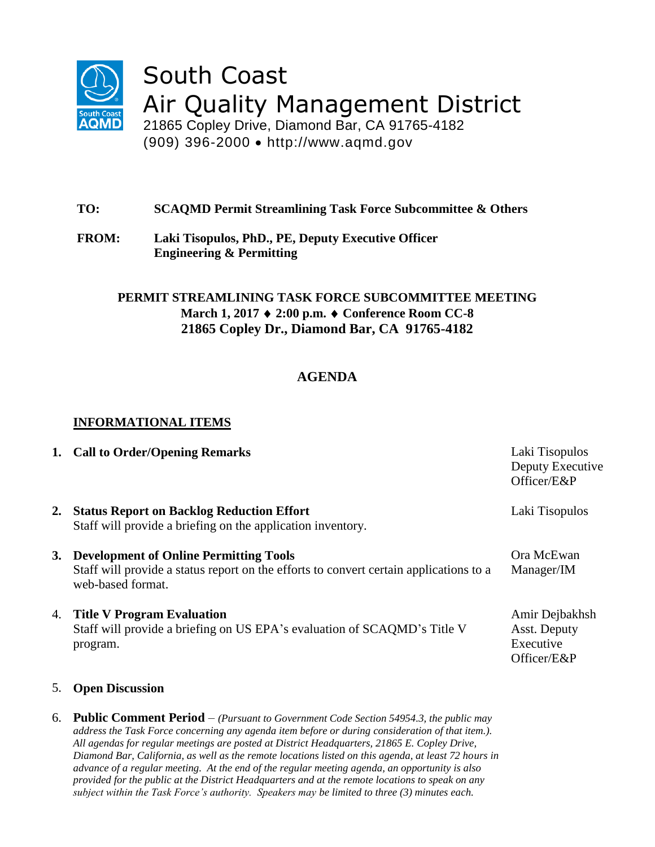

South Coast Air Quality Management District

21865 Copley Drive, Diamond Bar, CA 91765-4182 (909) 396-2000 http://www.aqmd.gov

- **TO: SCAQMD Permit Streamlining Task Force Subcommittee & Others**
- **FROM: Laki Tisopulos, PhD., PE, Deputy Executive Officer Engineering & Permitting**

### **PERMIT STREAMLINING TASK FORCE SUBCOMMITTEE MEETING March 1, 2017 2:00 p.m. Conference Room CC-8 21865 Copley Dr., Diamond Bar, CA 91765-4182**

# **AGENDA**

## **INFORMATIONAL ITEMS**

|    | 1. Call to Order/Opening Remarks                                                                                                                             | Laki Tisopulos<br>Deputy Executive<br>Officer/E&P          |
|----|--------------------------------------------------------------------------------------------------------------------------------------------------------------|------------------------------------------------------------|
| 2. | <b>Status Report on Backlog Reduction Effort</b><br>Staff will provide a briefing on the application inventory.                                              | Laki Tisopulos                                             |
| 3. | <b>Development of Online Permitting Tools</b><br>Staff will provide a status report on the efforts to convert certain applications to a<br>web-based format. | Ora McEwan<br>Manager/IM                                   |
| 4. | <b>Title V Program Evaluation</b><br>Staff will provide a briefing on US EPA's evaluation of SCAQMD's Title V<br>program.                                    | Amir Dejbakhsh<br>Asst. Deputy<br>Executive<br>Officer/E&P |
|    | 5. Open Discussion                                                                                                                                           |                                                            |

6. **Public Comment Period** – *(Pursuant to Government Code Section 54954.3, the public may address the Task Force concerning any agenda item before or during consideration of that item.). All agendas for regular meetings are posted at District Headquarters, 21865 E. Copley Drive, Diamond Bar, California, as well as the remote locations listed on this agenda, at least 72 hours in advance of a regular meeting. At the end of the regular meeting agenda, an opportunity is also provided for the public at the District Headquarters and at the remote locations to speak on any subject within the Task Force's authority. Speakers may be limited to three (3) minutes each.*